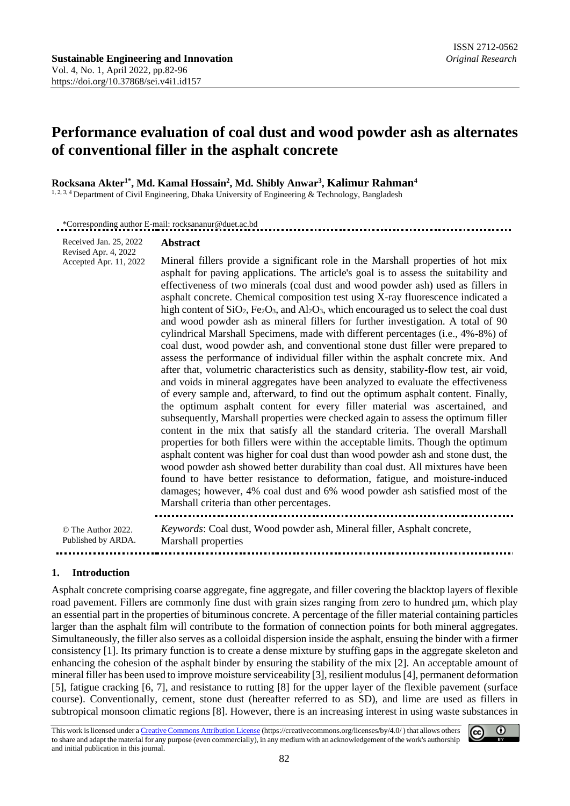# **Performance evaluation of coal dust and wood powder ash as alternates of conventional filler in the asphalt concrete**

**Rocksana Akter1\* , Md. Kamal Hossain<sup>2</sup> , Md. Shibly Anwar<sup>3</sup> , Kalimur Rahman<sup>4</sup>**

<sup>1, 2, 3, 4</sup> Department of Civil Engineering, Dhaka University of Engineering & Technology, Bangladesh

\*Corresponding author E-mail: [rocksananur@duet.ac.bd](mailto:rocksananur@duet.ac.bd)

Received Jan. 25, 2022 **Abstract**

Revised Apr. 4, 2022 Mineral fillers provide a significant role in the Marshall properties of hot mix Accepted Apr. 11, 2022 asphalt for paving applications. The article's goal is to assess the suitability and effectiveness of two minerals (coal dust and wood powder ash) used as fillers in asphalt concrete. Chemical composition test using X-ray fluorescence indicated a high content of  $SiO<sub>2</sub>$ , Fe<sub>2</sub>O<sub>3</sub>, and Al<sub>2</sub>O<sub>3</sub>, which encouraged us to select the coal dust and wood powder ash as mineral fillers for further investigation. A total of 90 cylindrical Marshall Specimens, made with different percentages (i.e., 4%-8%) of coal dust, wood powder ash, and conventional stone dust filler were prepared to assess the performance of individual filler within the asphalt concrete mix. And after that, volumetric characteristics such as density, stability-flow test, air void, and voids in mineral aggregates have been analyzed to evaluate the effectiveness of every sample and, afterward, to find out the optimum asphalt content. Finally, the optimum asphalt content for every filler material was ascertained, and subsequently, Marshall properties were checked again to assess the optimum filler content in the mix that satisfy all the standard criteria. The overall Marshall properties for both fillers were within the acceptable limits. Though the optimum asphalt content was higher for coal dust than wood powder ash and stone dust, the wood powder ash showed better durability than coal dust. All mixtures have been found to have better resistance to deformation, fatigue, and moisture-induced damages; however, 4% coal dust and 6% wood powder ash satisfied most of the Marshall criteria than other percentages. © The Author 2022. *Keywords*: Coal dust, Wood powder ash, Mineral filler, Asphalt concrete, Published by ARDA. Marshall properties

**1. Introduction**

.....................

Asphalt concrete comprising coarse aggregate, fine aggregate, and filler covering the blacktop layers of flexible road pavement. Fillers are commonly fine dust with grain sizes ranging from zero to hundred μm, which play an essential part in the properties of bituminous concrete. A percentage of the filler material containing particles larger than the asphalt film will contribute to the formation of connection points for both mineral aggregates. Simultaneously, the filler also serves as a colloidal dispersion inside the asphalt, ensuing the binder with a firmer consistency [1]. Its primary function is to create a dense mixture by stuffing gaps in the aggregate skeleton and enhancing the cohesion of the asphalt binder by ensuring the stability of the mix [2]. An acceptable amount of mineral filler has been used to improve moisture serviceability [3], resilient modulus [4], permanent deformation [5], fatigue cracking [6, 7], and resistance to rutting [8] for the upper layer of the flexible pavement (surface course). Conventionally, cement, stone dust (hereafter referred to as SD), and lime are used as fillers in subtropical monsoon climatic regions [8]. However, there is an increasing interest in using waste substances in

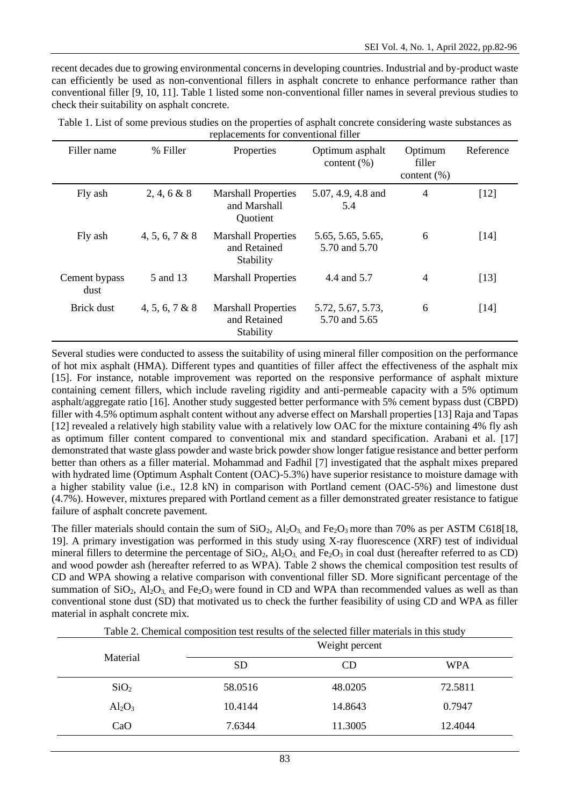recent decades due to growing environmental concerns in developing countries. Industrial and by-product waste can efficiently be used as non-conventional fillers in asphalt concrete to enhance performance rather than conventional filler [9, 10, 11]. Table 1 listed some non-conventional filler names in several previous studies to check their suitability on asphalt concrete.

| Filler name           | % Filler       | Properties                                              | Optimum asphalt<br>content $(\% )$ | Optimum<br>filler<br>content $(\% )$ | Reference |
|-----------------------|----------------|---------------------------------------------------------|------------------------------------|--------------------------------------|-----------|
| Fly ash               | 2, 4, 6 & 8    | <b>Marshall Properties</b><br>and Marshall<br>Quotient  | 5.07, 4.9, 4.8 and<br>5.4          | 4                                    | $[12]$    |
| Fly ash               | 4, 5, 6, 7 & 8 | <b>Marshall Properties</b><br>and Retained<br>Stability | 5.65, 5.65, 5.65,<br>5.70 and 5.70 | 6                                    | $[14]$    |
| Cement bypass<br>dust | 5 and 13       | <b>Marshall Properties</b>                              | 4.4 and 5.7                        | $\overline{4}$                       | [13]      |
| Brick dust            | 4, 5, 6, 7 & 8 | <b>Marshall Properties</b><br>and Retained<br>Stability | 5.72, 5.67, 5.73,<br>5.70 and 5.65 | 6                                    | $[14]$    |

Table 1. List of some previous studies on the properties of asphalt concrete considering waste substances as replacements for conventional filler

Several studies were conducted to assess the suitability of using mineral filler composition on the performance of hot mix asphalt (HMA). Different types and quantities of filler affect the effectiveness of the asphalt mix [15]. For instance, notable improvement was reported on the responsive performance of asphalt mixture containing cement fillers, which include raveling rigidity and anti-permeable capacity with a 5% optimum asphalt/aggregate ratio [16]. Another study suggested better performance with 5% cement bypass dust (CBPD) filler with 4.5% optimum asphalt content without any adverse effect on Marshall properties [13] Raja and Tapas [12] revealed a relatively high stability value with a relatively low OAC for the mixture containing 4% fly ash as optimum filler content compared to conventional mix and standard specification. Arabani et al. [17] demonstrated that waste glass powder and waste brick powder show longer fatigue resistance and better perform better than others as a filler material. Mohammad and Fadhil [7] investigated that the asphalt mixes prepared with hydrated lime (Optimum Asphalt Content (OAC)-5.3%) have superior resistance to moisture damage with a higher stability value (i.e., 12.8 kN) in comparison with Portland cement (OAC-5%) and limestone dust (4.7%). However, mixtures prepared with Portland cement as a filler demonstrated greater resistance to fatigue failure of asphalt concrete pavement.

The filler materials should contain the sum of  $SiO_2$ ,  $Al_2O_3$ , and Fe<sub>2</sub>O<sub>3</sub> more than 70% as per ASTM C618[18, 19]. A primary investigation was performed in this study using X-ray fluorescence (XRF) test of individual mineral fillers to determine the percentage of  $SiO_2$ ,  $Al_2O_3$ , and  $Fe_2O_3$  in coal dust (hereafter referred to as CD) and wood powder ash (hereafter referred to as WPA). Table 2 shows the chemical composition test results of CD and WPA showing a relative comparison with conventional filler SD. More significant percentage of the summation of  $SiO<sub>2</sub>$ ,  $Al<sub>2</sub>O<sub>3</sub>$ , and Fe<sub>2</sub>O<sub>3</sub> were found in CD and WPA than recommended values as well as than conventional stone dust (SD) that motivated us to check the further feasibility of using CD and WPA as filler material in asphalt concrete mix.

|                  | Weight percent |         |            |  |  |
|------------------|----------------|---------|------------|--|--|
| Material         | <b>SD</b>      | CD      | <b>WPA</b> |  |  |
| SiO <sub>2</sub> | 58.0516        | 48.0205 | 72.5811    |  |  |
| $Al_2O_3$        | 10.4144        | 14.8643 | 0.7947     |  |  |
| CaO              | 7.6344         | 11.3005 | 12.4044    |  |  |

Table 2. Chemical composition test results of the selected filler materials in this study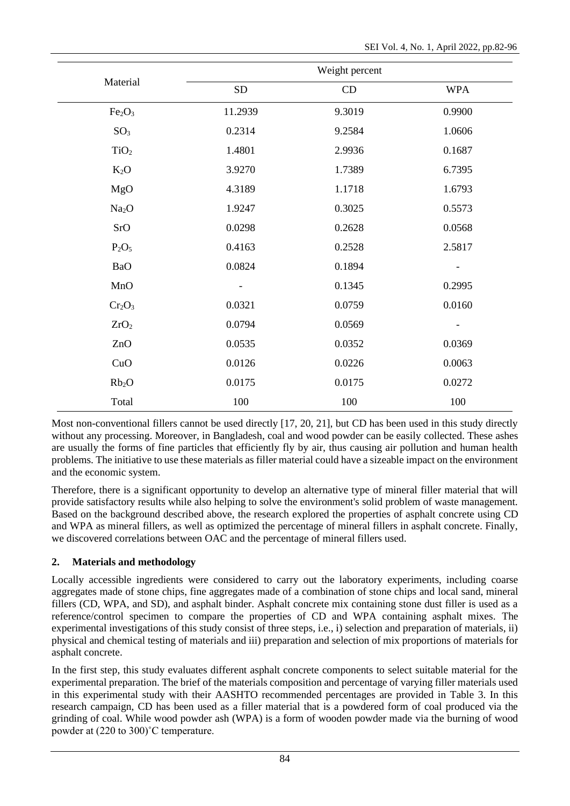|                                |                              | Weight percent |                          |
|--------------------------------|------------------------------|----------------|--------------------------|
| Material                       | ${\rm SD}$                   | CD             | <b>WPA</b>               |
| Fe <sub>2</sub> O <sub>3</sub> | 11.2939                      | 9.3019         | 0.9900                   |
| SO <sub>3</sub>                | 0.2314                       | 9.2584         | 1.0606                   |
| TiO <sub>2</sub>               | 1.4801                       | 2.9936         | 0.1687                   |
| $K_2O$                         | 3.9270                       | 1.7389         | 6.7395                   |
| MgO                            | 4.3189                       | 1.1718         | 1.6793                   |
| Na <sub>2</sub> O              | 1.9247                       | 0.3025         | 0.5573                   |
| SrO                            | 0.0298                       | 0.2628         | 0.0568                   |
| $P_2O_5$                       | 0.4163                       | 0.2528         | 2.5817                   |
| <b>BaO</b>                     | 0.0824                       | 0.1894         |                          |
| MnO                            | $\qquad \qquad \blacksquare$ | 0.1345         | 0.2995                   |
| $Cr_2O_3$                      | 0.0321                       | 0.0759         | 0.0160                   |
| ZrO <sub>2</sub>               | 0.0794                       | 0.0569         | $\overline{\phantom{a}}$ |
| ZnO                            | 0.0535                       | 0.0352         | 0.0369                   |
| CuO                            | 0.0126                       | 0.0226         | 0.0063                   |
| Rb <sub>2</sub> O              | 0.0175                       | 0.0175         | 0.0272                   |
| Total                          | 100                          | 100            | 100                      |

Most non-conventional fillers cannot be used directly [17, 20, 21], but CD has been used in this study directly without any processing. Moreover, in Bangladesh, coal and wood powder can be easily collected. These ashes are usually the forms of fine particles that efficiently fly by air, thus causing air pollution and human health problems. The initiative to use these materials as filler material could have a sizeable impact on the environment and the economic system.

Therefore, there is a significant opportunity to develop an alternative type of mineral filler material that will provide satisfactory results while also helping to solve the environment's solid problem of waste management. Based on the background described above, the research explored the properties of asphalt concrete using CD and WPA as mineral fillers, as well as optimized the percentage of mineral fillers in asphalt concrete. Finally, we discovered correlations between OAC and the percentage of mineral fillers used.

## **2. Materials and methodology**

Locally accessible ingredients were considered to carry out the laboratory experiments, including coarse aggregates made of stone chips, fine aggregates made of a combination of stone chips and local sand, mineral fillers (CD, WPA, and SD), and asphalt binder. Asphalt concrete mix containing stone dust filler is used as a reference/control specimen to compare the properties of CD and WPA containing asphalt mixes. The experimental investigations of this study consist of three steps, i.e., i) selection and preparation of materials, ii) physical and chemical testing of materials and iii) preparation and selection of mix proportions of materials for asphalt concrete.

In the first step, this study evaluates different asphalt concrete components to select suitable material for the experimental preparation. The brief of the materials composition and percentage of varying filler materials used in this experimental study with their AASHTO recommended percentages are provided in Table 3. In this research campaign, CD has been used as a filler material that is a powdered form of coal produced via the grinding of coal. While wood powder ash (WPA) is a form of wooden powder made via the burning of wood powder at (220 to 300)˚C temperature.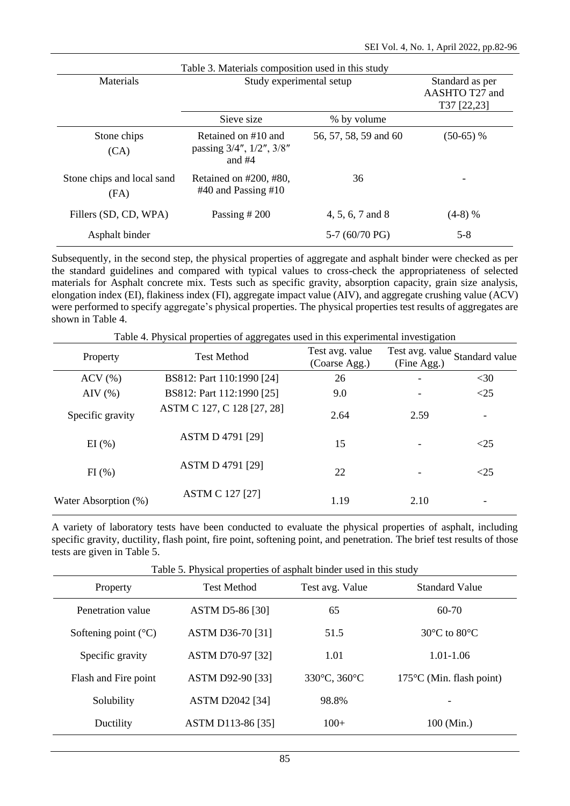|                                    | Table 3. Materials composition used in this study           |                                                  |             |
|------------------------------------|-------------------------------------------------------------|--------------------------------------------------|-------------|
| Materials                          | Study experimental setup                                    | Standard as per<br>AASHTO T27 and<br>T37 [22,23] |             |
|                                    | Sieve size                                                  | % by volume                                      |             |
| Stone chips<br>(CA)                | Retained on #10 and<br>passing 3/4", 1/2", 3/8"<br>and $#4$ | 56, 57, 58, 59 and 60                            | $(50-65)$ % |
| Stone chips and local sand<br>(FA) | Retained on $\#200, \#80$ ,<br>$#40$ and Passing $#10$      | 36                                               | -           |
| Fillers (SD, CD, WPA)              | Passing $#200$                                              | 4, 5, 6, 7 and 8                                 | $(4-8)$ %   |
| Asphalt binder                     |                                                             | 5-7 $(60/70)$ PG)                                | $5 - 8$     |

Subsequently, in the second step, the physical properties of aggregate and asphalt binder were checked as per the standard guidelines and compared with typical values to cross-check the appropriateness of selected materials for Asphalt concrete mix. Tests such as specific gravity, absorption capacity, grain size analysis, elongation index (EI), flakiness index (FI), aggregate impact value (AIV), and aggregate crushing value (ACV) were performed to specify aggregate's physical properties. The physical properties test results of aggregates are shown in Table 4.

| Table 4. Physical properties of aggregates used in this experimental investigation |                            |                                  |             |                                |  |  |  |  |
|------------------------------------------------------------------------------------|----------------------------|----------------------------------|-------------|--------------------------------|--|--|--|--|
| Property                                                                           | <b>Test Method</b>         | Test avg. value<br>(Coarse Agg.) | (Fine Agg.) | Test avg. value Standard value |  |  |  |  |
| $ACV$ $(\% )$                                                                      | BS812: Part 110:1990 [24]  | 26                               |             | $<$ 30                         |  |  |  |  |
| $\text{AIV}$ (%)                                                                   | BS812: Part 112:1990 [25]  | 9.0                              |             | <25                            |  |  |  |  |
| Specific gravity                                                                   | ASTM C 127, C 128 [27, 28] | 2.64                             | 2.59        |                                |  |  |  |  |
| EI(%)                                                                              | <b>ASTM D 4791 [29]</b>    | 15                               |             | <25                            |  |  |  |  |
| FI(%)                                                                              | <b>ASTM D 4791 [29]</b>    | 22                               |             | $<$ 25                         |  |  |  |  |
| Water Absorption (%)                                                               | <b>ASTM C 127 [27]</b>     | 1.19                             | 2.10        |                                |  |  |  |  |

A variety of laboratory tests have been conducted to evaluate the physical properties of asphalt, including specific gravity, ductility, flash point, fire point, softening point, and penetration. The brief test results of those tests are given in Table 5.

Table 5. Physical properties of asphalt binder used in this study

| Property                        | <b>Test Method</b>     | Test avg. Value | <b>Standard Value</b>              |
|---------------------------------|------------------------|-----------------|------------------------------------|
| Penetration value               | <b>ASTM D5-86 [30]</b> | 65              | $60-70$                            |
| Softening point $({}^{\circ}C)$ | ASTM D36-70 [31]       | 51.5            | $30^{\circ}$ C to $80^{\circ}$ C   |
| Specific gravity                | ASTM D70-97 [32]       | 1.01            | 1.01-1.06                          |
| Flash and Fire point            | ASTM D92-90 [33]       | 330°C, 360°C    | $175^{\circ}$ C (Min. flash point) |
| Solubility                      | <b>ASTM D2042 [34]</b> | 98.8%           |                                    |
| Ductility                       | ASTM D113-86 [35]      | $100+$          | 100 (Min.)                         |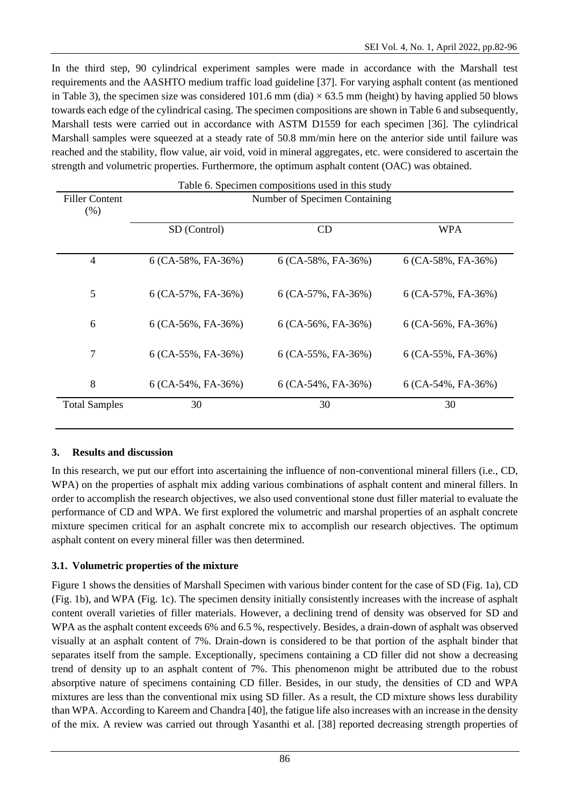In the third step, 90 cylindrical experiment samples were made in accordance with the Marshall test requirements and the AASHTO medium traffic load guideline [37]. For varying asphalt content (as mentioned in Table 3), the specimen size was considered 101.6 mm (dia)  $\times$  63.5 mm (height) by having applied 50 blows towards each edge of the cylindrical casing. The specimen compositions are shown in Table 6 and subsequently, Marshall tests were carried out in accordance with ASTM D1559 for each specimen [36]. The cylindrical Marshall samples were squeezed at a steady rate of 50.8 mm/min here on the anterior side until failure was reached and the stability, flow value, air void, void in mineral aggregates, etc. were considered to ascertain the strength and volumetric properties. Furthermore, the optimum asphalt content (OAC) was obtained.

| <b>Filler Content</b><br>$(\% )$ |                      | Number of Specimen Containing |                      |  |  |  |  |
|----------------------------------|----------------------|-------------------------------|----------------------|--|--|--|--|
|                                  | SD (Control)         | CD                            | <b>WPA</b>           |  |  |  |  |
| 4                                | $6$ (CA-58%, FA-36%) | 6 (CA-58%, FA-36%)            | $6$ (CA-58%, FA-36%) |  |  |  |  |
| 5                                | $6$ (CA-57%, FA-36%) | $6$ (CA-57%, FA-36%)          | $6$ (CA-57%, FA-36%) |  |  |  |  |
| 6                                | $6$ (CA-56%, FA-36%) | $6$ (CA-56%, FA-36%)          | $6$ (CA-56%, FA-36%) |  |  |  |  |
| $\overline{7}$                   | $6$ (CA-55%, FA-36%) | $6$ (CA-55%, FA-36%)          | $6$ (CA-55%, FA-36%) |  |  |  |  |
| 8                                | $6$ (CA-54%, FA-36%) | $6$ (CA-54%, FA-36%)          | $6$ (CA-54%, FA-36%) |  |  |  |  |
| <b>Total Samples</b>             | 30                   | 30                            | 30                   |  |  |  |  |

### **3. Results and discussion**

In this research, we put our effort into ascertaining the influence of non-conventional mineral fillers (i.e., CD, WPA) on the properties of asphalt mix adding various combinations of asphalt content and mineral fillers. In order to accomplish the research objectives, we also used conventional stone dust filler material to evaluate the performance of CD and WPA. We first explored the volumetric and marshal properties of an asphalt concrete mixture specimen critical for an asphalt concrete mix to accomplish our research objectives. The optimum asphalt content on every mineral filler was then determined.

### **3.1. Volumetric properties of the mixture**

Figure 1 shows the densities of Marshall Specimen with various binder content for the case of SD (Fig. 1a), CD (Fig. 1b), and WPA (Fig. 1c). The specimen density initially consistently increases with the increase of asphalt content overall varieties of filler materials. However, a declining trend of density was observed for SD and WPA as the asphalt content exceeds 6% and 6.5 %, respectively. Besides, a drain-down of asphalt was observed visually at an asphalt content of 7%. Drain-down is considered to be that portion of the asphalt binder that separates itself from the sample. Exceptionally, specimens containing a CD filler did not show a decreasing trend of density up to an asphalt content of 7%. This phenomenon might be attributed due to the robust absorptive nature of specimens containing CD filler. Besides, in our study, the densities of CD and WPA mixtures are less than the conventional mix using SD filler. As a result, the CD mixture shows less durability than WPA. According to Kareem and Chandra [40], the fatigue life also increases with an increase in the density of the mix. A review was carried out through Yasanthi et al. [38] reported decreasing strength properties of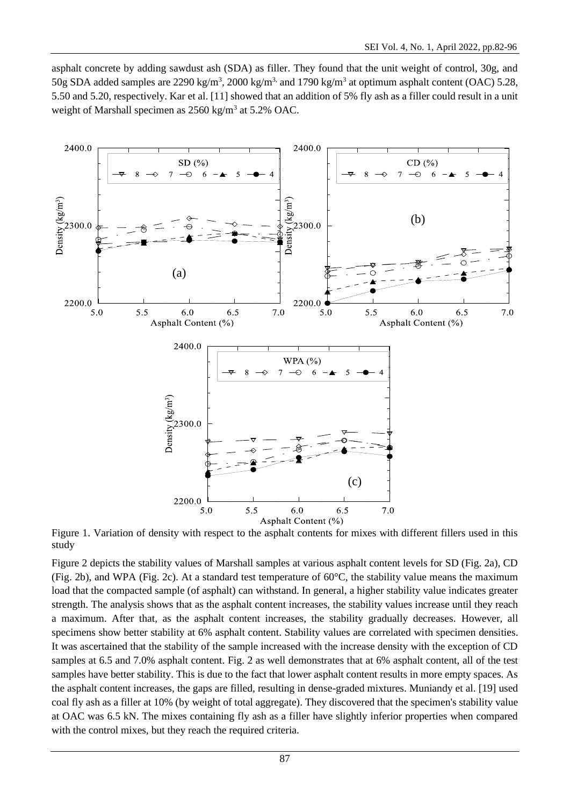asphalt concrete by adding sawdust ash (SDA) as filler. They found that the unit weight of control, 30g, and 50g SDA added samples are 2290 kg/m<sup>3</sup>, 2000 kg/m<sup>3,</sup> and 1790 kg/m<sup>3</sup> at optimum asphalt content (OAC) 5.28, 5.50 and 5.20, respectively. Kar et al. [11] showed that an addition of 5% fly ash as a filler could result in a unit weight of Marshall specimen as  $2560 \text{ kg/m}^3$  at  $5.2\%$  OAC.



Figure 1. Variation of density with respect to the asphalt contents for mixes with different fillers used in this study

Figure 2 depicts the stability values of Marshall samples at various asphalt content levels for SD (Fig. 2a), CD (Fig. 2b), and WPA (Fig. 2c). At a standard test temperature of  $60^{\circ}$ C, the stability value means the maximum load that the compacted sample (of asphalt) can withstand. In general, a higher stability value indicates greater strength. The analysis shows that as the asphalt content increases, the stability values increase until they reach a maximum. After that, as the asphalt content increases, the stability gradually decreases. However, all specimens show better stability at 6% asphalt content. Stability values are correlated with specimen densities. It was ascertained that the stability of the sample increased with the increase density with the exception of CD samples at 6.5 and 7.0% asphalt content. Fig. 2 as well demonstrates that at 6% asphalt content, all of the test samples have better stability. This is due to the fact that lower asphalt content results in more empty spaces. As the asphalt content increases, the gaps are filled, resulting in dense-graded mixtures. Muniandy et al. [19] used coal fly ash as a filler at 10% (by weight of total aggregate). They discovered that the specimen's stability value at OAC was 6.5 kN. The mixes containing fly ash as a filler have slightly inferior properties when compared with the control mixes, but they reach the required criteria.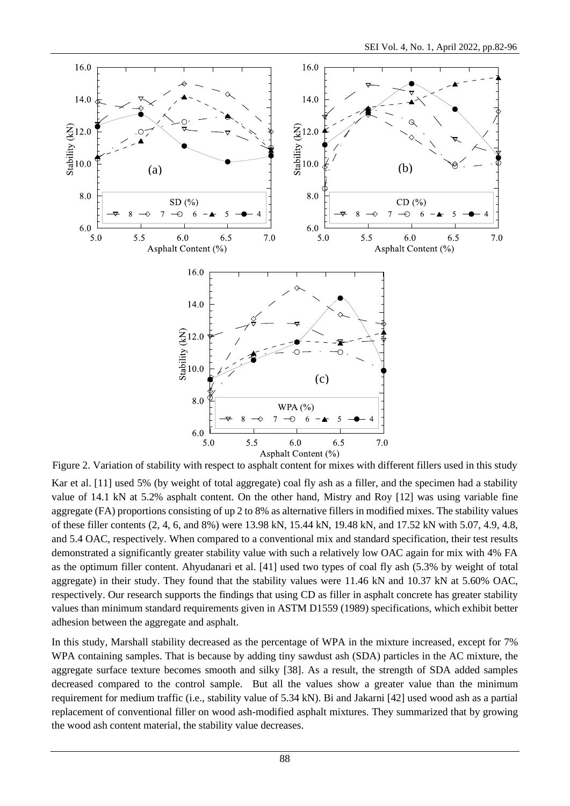

Figure 2. Variation of stability with respect to asphalt content for mixes with different fillers used in this study

Kar et al. [11] used 5% (by weight of total aggregate) coal fly ash as a filler, and the specimen had a stability value of 14.1 kN at 5.2% asphalt content. On the other hand, Mistry and Roy [12] was using variable fine aggregate (FA) proportions consisting of up 2 to 8% as alternative fillers in modified mixes. The stability values of these filler contents (2, 4, 6, and 8%) were 13.98 kN, 15.44 kN, 19.48 kN, and 17.52 kN with 5.07, 4.9, 4.8, and 5.4 OAC, respectively. When compared to a conventional mix and standard specification, their test results demonstrated a significantly greater stability value with such a relatively low OAC again for mix with 4% FA as the optimum filler content. Ahyudanari et al. [41] used two types of coal fly ash (5.3% by weight of total aggregate) in their study. They found that the stability values were 11.46 kN and 10.37 kN at 5.60% OAC, respectively. Our research supports the findings that using CD as filler in asphalt concrete has greater stability values than minimum standard requirements given in ASTM D1559 (1989) specifications, which exhibit better adhesion between the aggregate and asphalt.

In this study, Marshall stability decreased as the percentage of WPA in the mixture increased, except for 7% WPA containing samples. That is because by adding tiny sawdust ash (SDA) particles in the AC mixture, the aggregate surface texture becomes smooth and silky [38]. As a result, the strength of SDA added samples decreased compared to the control sample. But all the values show a greater value than the minimum requirement for medium traffic (i.e., stability value of 5.34 kN). Bi and Jakarni [42] used wood ash as a partial replacement of conventional filler on wood ash-modified asphalt mixtures. They summarized that by growing the wood ash content material, the stability value decreases.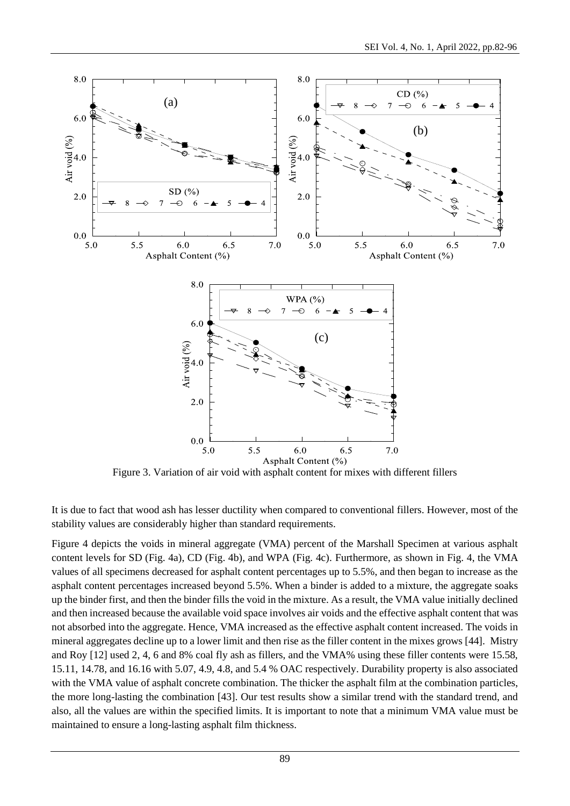

Figure 3. Variation of air void with asphalt content for mixes with different fillers

It is due to fact that wood ash has lesser ductility when compared to conventional fillers. However, most of the stability values are considerably higher than standard requirements.

Figure 4 depicts the voids in mineral aggregate (VMA) percent of the Marshall Specimen at various asphalt content levels for SD (Fig. 4a), CD (Fig. 4b), and WPA (Fig. 4c). Furthermore, as shown in Fig. 4, the VMA values of all specimens decreased for asphalt content percentages up to 5.5%, and then began to increase as the asphalt content percentages increased beyond 5.5%. When a binder is added to a mixture, the aggregate soaks up the binder first, and then the binder fills the void in the mixture. As a result, the VMA value initially declined and then increased because the available void space involves air voids and the effective asphalt content that was not absorbed into the aggregate. Hence, VMA increased as the effective asphalt content increased. The voids in mineral aggregates decline up to a lower limit and then rise as the filler content in the mixes grows [44]. Mistry and Roy [12] used 2, 4, 6 and 8% coal fly ash as fillers, and the VMA% using these filler contents were 15.58, 15.11, 14.78, and 16.16 with 5.07, 4.9, 4.8, and 5.4 % OAC respectively. Durability property is also associated with the VMA value of asphalt concrete combination. The thicker the asphalt film at the combination particles, the more long-lasting the combination [43]. Our test results show a similar trend with the standard trend, and also, all the values are within the specified limits. It is important to note that a minimum VMA value must be maintained to ensure a long-lasting asphalt film thickness.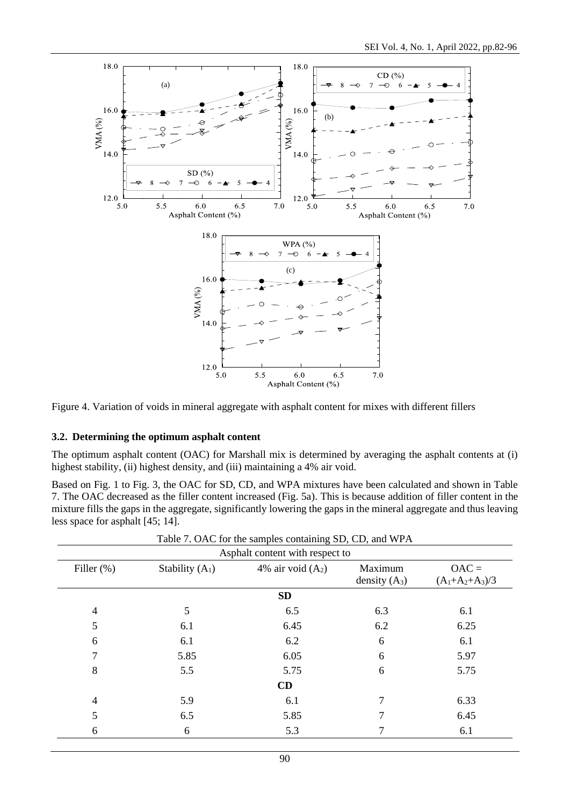

Figure 4. Variation of voids in mineral aggregate with asphalt content for mixes with different fillers

### **3.2. Determining the optimum asphalt content**

The optimum asphalt content (OAC) for Marshall mix is determined by averaging the asphalt contents at (i) highest stability, (ii) highest density, and (iii) maintaining a 4% air void.

Based on Fig. 1 to Fig. 3, the OAC for SD, CD, and WPA mixtures have been calculated and shown in Table 7. The OAC decreased as the filler content increased (Fig. 5a). This is because addition of filler content in the mixture fills the gaps in the aggregate, significantly lowering the gaps in the mineral aggregate and thus leaving less space for asphalt [45; 14].

|                          |                   | Table 7. OAC for the samples containing SD, CD, and WPA |                 |                   |
|--------------------------|-------------------|---------------------------------------------------------|-----------------|-------------------|
|                          |                   | Asphalt content with respect to                         |                 |                   |
| Filler $(\%)$            | Stability $(A_1)$ | 4% air void $(A_2)$                                     | Maximum         | $OAC =$           |
|                          |                   |                                                         | density $(A_3)$ | $(A_1+A_2+A_3)/3$ |
|                          |                   | <b>SD</b>                                               |                 |                   |
| $\overline{\mathcal{L}}$ | 5                 | 6.5                                                     | 6.3             | 6.1               |
| 5                        | 6.1               | 6.45                                                    | 6.2             | 6.25              |
| 6                        | 6.1               | 6.2                                                     | 6               | 6.1               |
| 7                        | 5.85              | 6.05                                                    | 6               | 5.97              |
| 8                        | 5.5               | 5.75                                                    | 6               | 5.75              |
|                          |                   | CD                                                      |                 |                   |
| 4                        | 5.9               | 6.1                                                     | 7               | 6.33              |
| 5                        | 6.5               | 5.85                                                    |                 | 6.45              |
| 6                        | 6                 | 5.3                                                     |                 | 6.1               |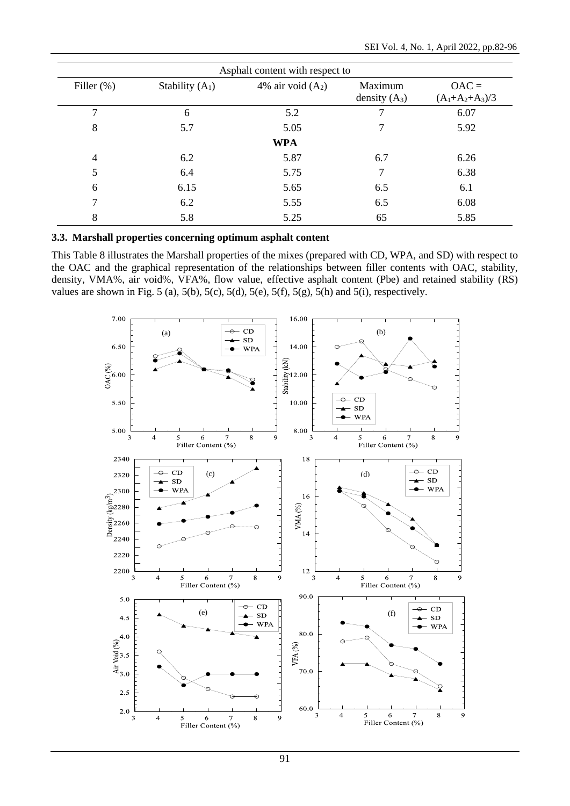| Asphalt content with respect to |                   |                     |                            |                              |  |  |  |
|---------------------------------|-------------------|---------------------|----------------------------|------------------------------|--|--|--|
| Filler $(\%)$                   | Stability $(A_1)$ | 4% air void $(A_2)$ | Maximum<br>density $(A_3)$ | $OAC =$<br>$(A_1+A_2+A_3)/3$ |  |  |  |
| 7                               | 6                 | 5.2                 |                            | 6.07                         |  |  |  |
| 8                               | 5.7               | 5.05                | 7                          | 5.92                         |  |  |  |
|                                 |                   | <b>WPA</b>          |                            |                              |  |  |  |
| $\overline{4}$                  | 6.2               | 5.87                | 6.7                        | 6.26                         |  |  |  |
| 5                               | 6.4               | 5.75                | 7                          | 6.38                         |  |  |  |
| 6                               | 6.15              | 5.65                | 6.5                        | 6.1                          |  |  |  |
| 7                               | 6.2               | 5.55                | 6.5                        | 6.08                         |  |  |  |
| 8                               | 5.8               | 5.25                | 65                         | 5.85                         |  |  |  |

**3.3. Marshall properties concerning optimum asphalt content**

This Table 8 illustrates the Marshall properties of the mixes (prepared with CD, WPA, and SD) with respect to the OAC and the graphical representation of the relationships between filler contents with OAC, stability, density, VMA%, air void%, VFA%, flow value, effective asphalt content (Pbe) and retained stability (RS) values are shown in Fig. 5 (a), 5(b), 5(c), 5(d), 5(e), 5(f), 5(g), 5(h) and 5(i), respectively.

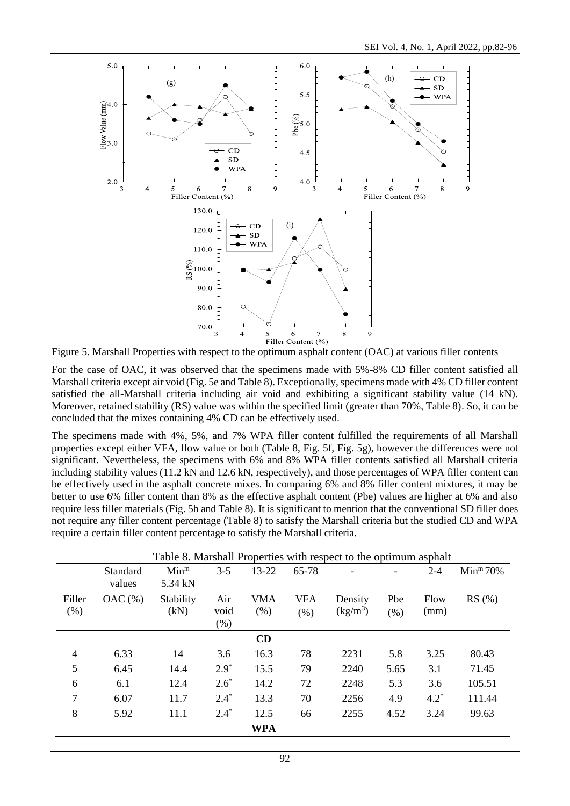

Figure 5. Marshall Properties with respect to the optimum asphalt content (OAC) at various filler contents

For the case of OAC, it was observed that the specimens made with 5%-8% CD filler content satisfied all Marshall criteria except air void (Fig. 5e and Table 8). Exceptionally, specimens made with 4% CD filler content satisfied the all-Marshall criteria including air void and exhibiting a significant stability value (14 kN). Moreover, retained stability (RS) value was within the specified limit (greater than 70%, Table 8). So, it can be concluded that the mixes containing 4% CD can be effectively used.

The specimens made with 4%, 5%, and 7% WPA filler content fulfilled the requirements of all Marshall properties except either VFA, flow value or both (Table 8, Fig. 5f, Fig. 5g), however the differences were not significant. Nevertheless, the specimens with 6% and 8% WPA filler contents satisfied all Marshall criteria including stability values (11.2 kN and 12.6 kN, respectively), and those percentages of WPA filler content can be effectively used in the asphalt concrete mixes. In comparing 6% and 8% filler content mixtures, it may be better to use 6% filler content than 8% as the effective asphalt content (Pbe) values are higher at 6% and also require less filler materials (Fig. 5h and Table 8). It is significant to mention that the conventional SD filler does not require any filler content percentage (Table 8) to satisfy the Marshall criteria but the studied CD and WPA require a certain filler content percentage to satisfy the Marshall criteria.

|                | Standard<br>values | Min <sup>m</sup><br>5.34 kN | $3 - 5$                | 13-22              | 65-78              |                                 |             | $2 - 4$      | Min <sup>m</sup> 70% |
|----------------|--------------------|-----------------------------|------------------------|--------------------|--------------------|---------------------------------|-------------|--------------|----------------------|
| Filler<br>(% ) | OAC(%)             | Stability<br>(kN)           | Air<br>void<br>$(\% )$ | <b>VMA</b><br>(% ) | <b>VFA</b><br>(% ) | Density<br>(kg/m <sup>3</sup> ) | Pbe<br>(% ) | Flow<br>(mm) | RS(%)                |
|                |                    |                             |                        | CD                 |                    |                                 |             |              |                      |
| $\overline{4}$ | 6.33               | 14                          | 3.6                    | 16.3               | 78                 | 2231                            | 5.8         | 3.25         | 80.43                |
| 5              | 6.45               | 14.4                        | $2.9*$                 | 15.5               | 79                 | 2240                            | 5.65        | 3.1          | 71.45                |
| 6              | 6.1                | 12.4                        | $2.6*$                 | 14.2               | 72                 | 2248                            | 5.3         | 3.6          | 105.51               |
| 7              | 6.07               | 11.7                        | $2.4*$                 | 13.3               | 70                 | 2256                            | 4.9         | $4.2^*$      | 111.44               |
| 8              | 5.92               | 11.1                        | $2.4*$                 | 12.5               | 66                 | 2255                            | 4.52        | 3.24         | 99.63                |
|                |                    |                             |                        | <b>WPA</b>         |                    |                                 |             |              |                      |

Table 8. Marshall Properties with respect to the optimum asphalt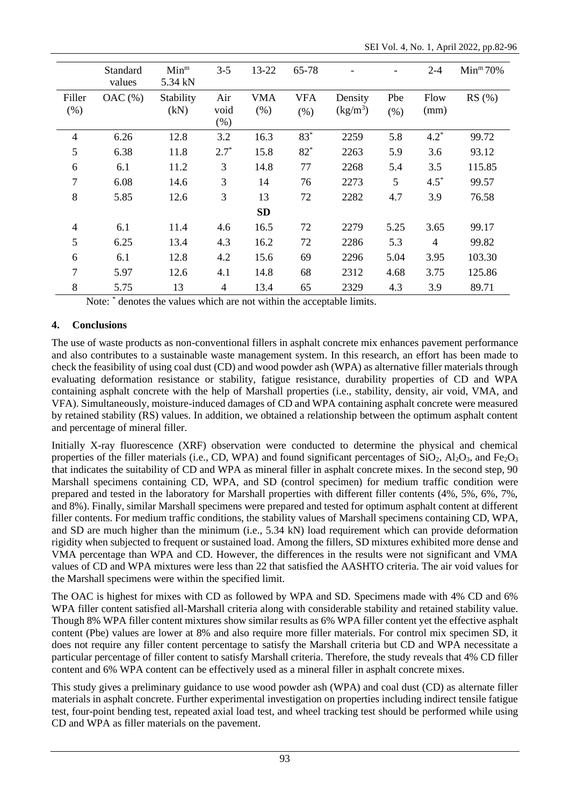|                | Standard<br>values | Min <sup>m</sup><br>5.34 kN | $3 - 5$               | $13 - 22$          | 65-78              |                                 |               | $2 - 4$        | Min <sup>m</sup> 70% |
|----------------|--------------------|-----------------------------|-----------------------|--------------------|--------------------|---------------------------------|---------------|----------------|----------------------|
| Filler<br>(% ) | OAC(%)             | Stability<br>(kN)           | Air<br>void<br>$(\%)$ | <b>VMA</b><br>(% ) | <b>VFA</b><br>(% ) | Density<br>(kg/m <sup>3</sup> ) | Pbe<br>$(\%)$ | Flow<br>(mm)   | RS(%)                |
| $\overline{4}$ | 6.26               | 12.8                        | 3.2                   | 16.3               | $83*$              | 2259                            | 5.8           | $4.2*$         | 99.72                |
| 5              | 6.38               | 11.8                        | $2.7*$                | 15.8               | $82*$              | 2263                            | 5.9           | 3.6            | 93.12                |
| 6              | 6.1                | 11.2                        | 3                     | 14.8               | 77                 | 2268                            | 5.4           | 3.5            | 115.85               |
| 7              | 6.08               | 14.6                        | 3                     | 14                 | 76                 | 2273                            | 5             | $4.5*$         | 99.57                |
| 8              | 5.85               | 12.6                        | 3                     | 13                 | 72                 | 2282                            | 4.7           | 3.9            | 76.58                |
|                |                    |                             |                       | <b>SD</b>          |                    |                                 |               |                |                      |
| $\overline{4}$ | 6.1                | 11.4                        | 4.6                   | 16.5               | 72                 | 2279                            | 5.25          | 3.65           | 99.17                |
| 5              | 6.25               | 13.4                        | 4.3                   | 16.2               | 72                 | 2286                            | 5.3           | $\overline{4}$ | 99.82                |
| 6              | 6.1                | 12.8                        | 4.2                   | 15.6               | 69                 | 2296                            | 5.04          | 3.95           | 103.30               |
| 7              | 5.97               | 12.6                        | 4.1                   | 14.8               | 68                 | 2312                            | 4.68          | 3.75           | 125.86               |
| 8              | 5.75               | 13                          | $\overline{4}$        | 13.4               | 65                 | 2329                            | 4.3           | 3.9            | 89.71                |

Note: \* denotes the values which are not within the acceptable limits.

### **4. Conclusions**

The use of waste products as non-conventional fillers in asphalt concrete mix enhances pavement performance and also contributes to a sustainable waste management system. In this research, an effort has been made to check the feasibility of using coal dust (CD) and wood powder ash (WPA) as alternative filler materials through evaluating deformation resistance or stability, fatigue resistance, durability properties of CD and WPA containing asphalt concrete with the help of Marshall properties (i.e., stability, density, air void, VMA, and VFA). Simultaneously, moisture-induced damages of CD and WPA containing asphalt concrete were measured by retained stability (RS) values. In addition, we obtained a relationship between the optimum asphalt content and percentage of mineral filler.

Initially X-ray fluorescence (XRF) observation were conducted to determine the physical and chemical properties of the filler materials (i.e., CD, WPA) and found significant percentages of  $SiO_2$ ,  $Al_2O_3$ , and  $Fe_2O_3$ that indicates the suitability of CD and WPA as mineral filler in asphalt concrete mixes. In the second step, 90 Marshall specimens containing CD, WPA, and SD (control specimen) for medium traffic condition were prepared and tested in the laboratory for Marshall properties with different filler contents (4%, 5%, 6%, 7%, and 8%). Finally, similar Marshall specimens were prepared and tested for optimum asphalt content at different filler contents. For medium traffic conditions, the stability values of Marshall specimens containing CD, WPA, and SD are much higher than the minimum (i.e., 5.34 kN) load requirement which can provide deformation rigidity when subjected to frequent or sustained load. Among the fillers, SD mixtures exhibited more dense and VMA percentage than WPA and CD. However, the differences in the results were not significant and VMA values of CD and WPA mixtures were less than 22 that satisfied the AASHTO criteria. The air void values for the Marshall specimens were within the specified limit.

The OAC is highest for mixes with CD as followed by WPA and SD. Specimens made with 4% CD and 6% WPA filler content satisfied all-Marshall criteria along with considerable stability and retained stability value. Though 8% WPA filler content mixtures show similar results as 6% WPA filler content yet the effective asphalt content (Pbe) values are lower at 8% and also require more filler materials. For control mix specimen SD, it does not require any filler content percentage to satisfy the Marshall criteria but CD and WPA necessitate a particular percentage of filler content to satisfy Marshall criteria. Therefore, the study reveals that 4% CD filler content and 6% WPA content can be effectively used as a mineral filler in asphalt concrete mixes.

This study gives a preliminary guidance to use wood powder ash (WPA) and coal dust (CD) as alternate filler materials in asphalt concrete. Further experimental investigation on properties including indirect tensile fatigue test, four-point bending test, repeated axial load test, and wheel tracking test should be performed while using CD and WPA as filler materials on the pavement.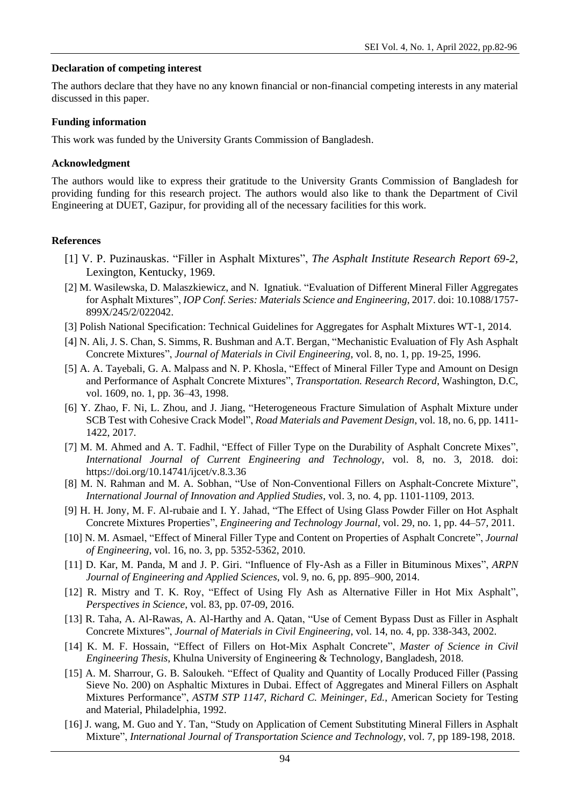### **Declaration of competing interest**

The authors declare that they have no any known financial or non-financial competing interests in any material discussed in this paper.

### **Funding information**

This work was funded by the University Grants Commission of Bangladesh.

#### **Acknowledgment**

The authors would like to express their gratitude to the University Grants Commission of Bangladesh for providing funding for this research project. The authors would also like to thank the Department of Civil Engineering at DUET, Gazipur, for providing all of the necessary facilities for this work.

### **References**

- [1] V. P. Puzinauskas. "Filler in Asphalt Mixtures", *The Asphalt Institute Research Report 69-2*, Lexington, Kentucky, 1969.
- [2] M. Wasilewska, D. Malaszkiewicz, and N. Ignatiuk. "Evaluation of Different Mineral Filler Aggregates for Asphalt Mixtures", *IOP Conf. Series: Materials Science and Engineering*, 2017. doi: 10.1088/1757- 899X/245/2/022042.
- [3] Polish National Specification: Technical Guidelines for Aggregates for Asphalt Mixtures WT-1, 2014.
- [4] N. Ali, J. S. Chan, S. Simms, R. Bushman and A.T. Bergan, "Mechanistic Evaluation of Fly Ash Asphalt Concrete Mixtures", *Journal of Materials in Civil Engineering*, vol. 8, no. 1, pp. 19-25, 1996.
- [5] A. A. Tayebali, G. A. Malpass and N. P. Khosla, "Effect of Mineral Filler Type and Amount on Design and Performance of Asphalt Concrete Mixtures", *Transportation. Research Record*, Washington, D.C, vol. 1609, no. 1, pp. 36–43, 1998.
- [6] Y. Zhao, F. Ni, L. Zhou, and J. Jiang, "Heterogeneous Fracture Simulation of Asphalt Mixture under SCB Test with Cohesive Crack Model", *Road Materials and Pavement Design*, vol. 18, no. 6, pp. 1411- 1422, 2017.
- [7] M. M. Ahmed and A. T. Fadhil, "Effect of Filler Type on the Durability of Asphalt Concrete Mixes", *International Journal of Current Engineering and Technology*, vol. 8, no. 3, 2018. doi: <https://doi.org/10.14741/ijcet/v.8.3.36>
- [8] M. N. Rahman and M. A. Sobhan, "Use of Non-Conventional Fillers on Asphalt-Concrete Mixture", *International Journal of Innovation and Applied Studies*, vol. 3, no. 4, pp. 1101-1109, 2013.
- [9] H. H. Jony, M. F. Al-rubaie and I. Y. Jahad, "The Effect of Using Glass Powder Filler on Hot Asphalt Concrete Mixtures Properties", *Engineering and Technology Journal,* vol. 29, no. 1, pp. 44–57, 2011.
- [10] N. M. Asmael, "Effect of Mineral Filler Type and Content on Properties of Asphalt Concrete", *Journal of Engineering*, vol. 16, no. 3, pp. 5352-5362, 2010.
- [11] D. Kar, M. Panda, M and J. P. Giri. "Influence of Fly-Ash as a Filler in Bituminous Mixes", *ARPN Journal of Engineering and Applied Sciences*, vol. 9, no. 6, pp. 895–900, 2014.
- [12] R. Mistry and T. K. Roy, "Effect of Using Fly Ash as Alternative Filler in Hot Mix Asphalt", *Perspectives in Science*, vol. 83, pp. 07-09, 2016.
- [13] R. Taha, A. Al-Rawas, A. Al-Harthy and A. Qatan, "Use of Cement Bypass Dust as Filler in Asphalt Concrete Mixtures", *Journal of Materials in Civil Engineering*, vol. 14, no. 4, pp. 338-343, 2002.
- [14] K. M. F. Hossain, "Effect of Fillers on Hot-Mix Asphalt Concrete", *Master of Science in Civil Engineering Thesis*, Khulna University of Engineering & Technology, Bangladesh, 2018.
- [15] A. M. Sharrour, G. B. Saloukeh. "Effect of Quality and Quantity of Locally Produced Filler (Passing Sieve No. 200) on Asphaltic Mixtures in Dubai. Effect of Aggregates and Mineral Fillers on Asphalt Mixtures Performance", *ASTM STP 1147, Richard C. Meininger, Ed.*, American Society for Testing and Material, Philadelphia, 1992.
- [16] J. wang, M. Guo and Y. Tan, "Study on Application of Cement Substituting Mineral Fillers in Asphalt Mixture", *International Journal of Transportation Science and Technology*, vol. 7, pp 189-198, 2018.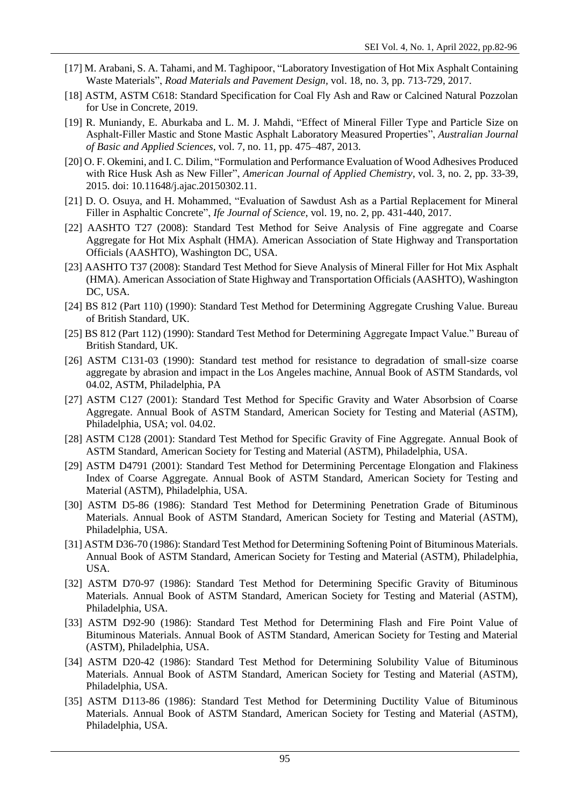- [17] M. Arabani, S. A. Tahami, and M. Taghipoor, "Laboratory Investigation of Hot Mix Asphalt Containing Waste Materials", *Road Materials and Pavement Design,* vol. 18, no. 3, pp. 713-729, 2017.
- [18] ASTM, ASTM C618: Standard Specification for Coal Fly Ash and Raw or Calcined Natural Pozzolan for Use in Concrete, 2019.
- [19] R. Muniandy, E. Aburkaba and L. M. J. Mahdi, "Effect of Mineral Filler Type and Particle Size on Asphalt-Filler Mastic and Stone Mastic Asphalt Laboratory Measured Properties", *Australian Journal of Basic and Applied Sciences*, vol. 7, no. 11, pp. 475–487, 2013.
- [20] O. F. Okemini, and I. C. Dilim, "Formulation and Performance Evaluation of Wood Adhesives Produced with Rice Husk Ash as New Filler", *American Journal of Applied Chemistry*, vol. 3, no. 2, pp. 33-39, 2015. doi: 10.11648/j.ajac.20150302.11.
- [21] D. O. Osuya, and H. Mohammed, "Evaluation of Sawdust Ash as a Partial Replacement for Mineral Filler in Asphaltic Concrete", *Ife Journal of Science*, vol. 19, no. 2, pp. 431-440, 2017.
- [22] AASHTO T27 (2008): Standard Test Method for Seive Analysis of Fine aggregate and Coarse Aggregate for Hot Mix Asphalt (HMA). American Association of State Highway and Transportation Officials (AASHTO), Washington DC, USA.
- [23] AASHTO T37 (2008): Standard Test Method for Sieve Analysis of Mineral Filler for Hot Mix Asphalt (HMA). American Association of State Highway and Transportation Officials (AASHTO), Washington DC, USA.
- [24] BS 812 (Part 110) (1990): Standard Test Method for Determining Aggregate Crushing Value. Bureau of British Standard, UK.
- [25] BS 812 (Part 112) (1990): Standard Test Method for Determining Aggregate Impact Value." Bureau of British Standard, UK.
- [26] ASTM C131-03 (1990): Standard test method for resistance to degradation of small-size coarse aggregate by abrasion and impact in the Los Angeles machine, Annual Book of ASTM Standards, vol 04.02, ASTM, Philadelphia, PA
- [27] ASTM C127 (2001): Standard Test Method for Specific Gravity and Water Absorbsion of Coarse Aggregate. Annual Book of ASTM Standard, American Society for Testing and Material (ASTM), Philadelphia, USA; vol. 04.02.
- [28] ASTM C128 (2001): Standard Test Method for Specific Gravity of Fine Aggregate. Annual Book of ASTM Standard, American Society for Testing and Material (ASTM), Philadelphia, USA.
- [29] ASTM D4791 (2001): Standard Test Method for Determining Percentage Elongation and Flakiness Index of Coarse Aggregate. Annual Book of ASTM Standard, American Society for Testing and Material (ASTM), Philadelphia, USA.
- [30] ASTM D5-86 (1986): Standard Test Method for Determining Penetration Grade of Bituminous Materials. Annual Book of ASTM Standard, American Society for Testing and Material (ASTM), Philadelphia, USA.
- [31] ASTM D36-70 (1986): Standard Test Method for Determining Softening Point of Bituminous Materials. Annual Book of ASTM Standard, American Society for Testing and Material (ASTM), Philadelphia, USA.
- [32] ASTM D70-97 (1986): Standard Test Method for Determining Specific Gravity of Bituminous Materials. Annual Book of ASTM Standard, American Society for Testing and Material (ASTM), Philadelphia, USA.
- [33] ASTM D92-90 (1986): Standard Test Method for Determining Flash and Fire Point Value of Bituminous Materials. Annual Book of ASTM Standard, American Society for Testing and Material (ASTM), Philadelphia, USA.
- [34] ASTM D20-42 (1986): Standard Test Method for Determining Solubility Value of Bituminous Materials. Annual Book of ASTM Standard, American Society for Testing and Material (ASTM), Philadelphia, USA.
- [35] ASTM D113-86 (1986): Standard Test Method for Determining Ductility Value of Bituminous Materials. Annual Book of ASTM Standard, American Society for Testing and Material (ASTM), Philadelphia, USA.